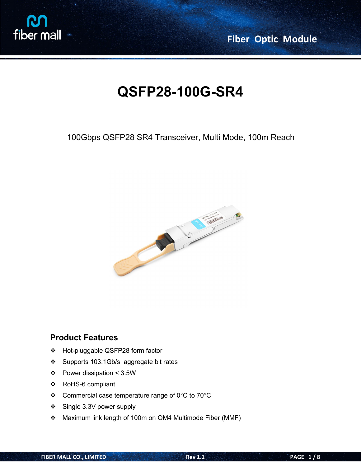

**Fiber Optic Module**

# **QSFP28-100G-SR4**

100Gbps QSFP28 SR4 Transceiver, Multi Mode, 100m Reach



### **Product Features**

- Hot-pluggable QSFP28 form factor
- Supports 103.1Gb/s aggregate bit rates
- $\div$  Power dissipation < 3.5W
- RoHS-6 compliant
- Commercial case temperature range of 0°C to 70°C
- Single 3.3V power supply
- Maximum link length of 100m on OM4 Multimode Fiber (MMF)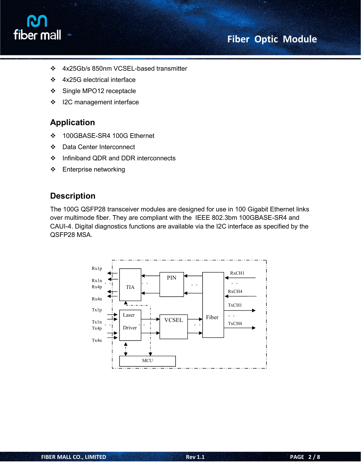

- 4x25Gb/s 850nm VCSEL-based transmitter
- 4x25G electrical interface
- Single MPO12 receptacle
- ❖ I2C management interface

## **Application**

- 100GBASE-SR4 100G Ethernet
- Data Center Interconnect
- ❖ Infiniband QDR and DDR interconnects
- Enterprise networking

### **Description**

The 100G QSFP28 transceiver modules are designed for use in 100 Gigabit Ethernet links over multimode fiber. They are compliant with the IEEE 802.3bm 100GBASE-SR4 and CAUI-4. Digital diagnostics functions are available via the I2C interface as specified by the QSFP28 MSA.

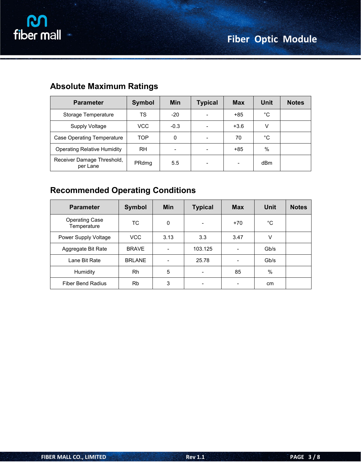| <b>Parameter</b>                       | <b>Symbol</b> | <b>Min</b>               | <b>Typical</b>           | <b>Max</b> | <b>Unit</b> | <b>Notes</b> |
|----------------------------------------|---------------|--------------------------|--------------------------|------------|-------------|--------------|
| Storage Temperature                    | TS            | $-20$                    |                          | +85        | $^{\circ}C$ |              |
| Supply Voltage                         | VCC           | $-0.3$                   |                          | $+3.6$     | V           |              |
| Case Operating Temperature             | <b>TOP</b>    | $\mathbf 0$              | $\overline{\phantom{0}}$ | 70         | °C          |              |
| <b>Operating Relative Humidity</b>     | <b>RH</b>     | $\overline{\phantom{a}}$ | $\overline{\phantom{0}}$ | $+85$      | $\%$        |              |
| Receiver Damage Threshold,<br>per Lane | PRdmg         | 5.5                      | $\overline{\phantom{a}}$ |            | dBm         |              |

# **Absolute Maximum Ratings**

# **Recommended Operating Conditions**

| <b>Parameter</b>                     | Symbol        | <b>Min</b>                   | <b>Typical</b>               | <b>Max</b>               | <b>Unit</b> | <b>Notes</b> |
|--------------------------------------|---------------|------------------------------|------------------------------|--------------------------|-------------|--------------|
| <b>Operating Case</b><br>Temperature | ТC            | $\mathbf 0$                  | $\qquad \qquad \blacksquare$ | $+70$                    | $^{\circ}C$ |              |
| Power Supply Voltage                 | <b>VCC</b>    | 3.13                         | 3.3                          | 3.47                     | V           |              |
| Aggregate Bit Rate                   | <b>BRAVE</b>  | $\qquad \qquad \blacksquare$ | 103.125                      | $\overline{\phantom{a}}$ | Gb/s        |              |
| Lane Bit Rate                        | <b>BRLANE</b> | ۰                            | 25.78                        | $\overline{\phantom{a}}$ | Gb/s        |              |
| Humidity                             | <b>Rh</b>     | 5                            | $\overline{\phantom{a}}$     | 85                       | %           |              |
| <b>Fiber Bend Radius</b>             | <b>Rb</b>     | 3                            | $\overline{\phantom{a}}$     | $\overline{\phantom{a}}$ | cm          |              |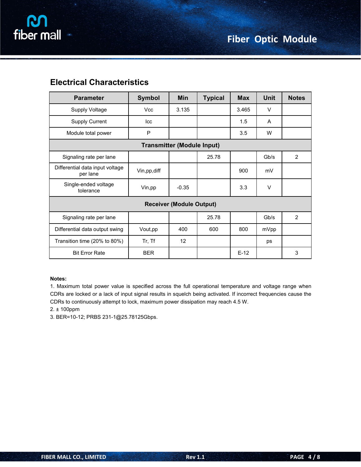| <b>Electrical Characteristics</b> |  |
|-----------------------------------|--|
|-----------------------------------|--|

| <b>Parameter</b>                            | <b>Symbol</b> | Min                               | <b>Typical</b> | <b>Max</b> | <b>Unit</b> | <b>Notes</b>   |
|---------------------------------------------|---------------|-----------------------------------|----------------|------------|-------------|----------------|
| Supply Voltage                              | Vcc           | 3.135                             |                | 3.465      | $\vee$      |                |
| Supply Current                              | lcc           |                                   |                | 1.5        | A           |                |
| Module total power                          | P             |                                   |                | 3.5        | W           |                |
|                                             |               | <b>Transmitter (Module Input)</b> |                |            |             |                |
| Signaling rate per lane                     |               |                                   | 25.78          |            | Gb/s        | $\overline{2}$ |
| Differential data input voltage<br>per lane | Vin, pp, diff |                                   |                | 900        | mV          |                |
| Single-ended voltage<br>tolerance           | Vin,pp        | $-0.35$                           |                | 3.3        | $\vee$      |                |
|                                             |               | <b>Receiver (Module Output)</b>   |                |            |             |                |
| Signaling rate per lane                     |               |                                   | 25.78          |            | Gb/s        | $\overline{2}$ |
| Differential data output swing              | Vout, pp      | 400                               | 600            | 800        | mVpp        |                |
| Transition time (20% to 80%)                | Tr, Tf        | 12                                |                |            | ps          |                |
| <b>Bit Error Rate</b>                       | <b>BER</b>    |                                   |                | $E-12$     |             | 3              |

#### **Notes:**

1. Maximum total power value is specified across the full operational temperature and voltage range when CDRs are locked or a lack of input signal results in squelch being activated. If incorrect frequencies cause the CDRs to continuously attempt to lock, maximum power dissipation may reach 4.5 W.

#### 2. ± 100ppm

3. BER=10-12; PRBS 231-1@25.78125Gbps.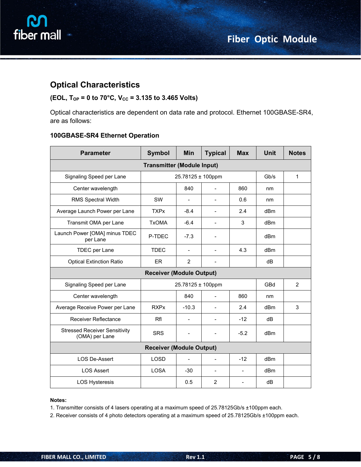



### **Optical Characteristics**

#### **(EOL, TOP = 0 to 70°C, VCC = 3.135 to 3.465 Volts)**

Optical characteristics are dependent on data rate and protocol. Ethernet 100GBASE-SR4, are as follows:

#### **100GBASE-SR4 Ethernet Operation**

| <b>Parameter</b>                                       | <b>Symbol</b>                   | Min                      | <b>Typical</b>           | <b>Max</b>               | <b>Unit</b>     | <b>Notes</b> |  |  |
|--------------------------------------------------------|---------------------------------|--------------------------|--------------------------|--------------------------|-----------------|--------------|--|--|
| <b>Transmitter (Module Input)</b>                      |                                 |                          |                          |                          |                 |              |  |  |
| Signaling Speed per Lane                               |                                 | 25.78125 ± 100ppm        |                          |                          | Gb/s            | $\mathbf{1}$ |  |  |
| Center wavelength                                      |                                 | 840                      | $\sim$                   | 860                      | nm              |              |  |  |
| RMS Spectral Width                                     | <b>SW</b>                       | $\overline{\phantom{a}}$ | $\blacksquare$           | 0.6                      | nm              |              |  |  |
| Average Launch Power per Lane                          | <b>TXPx</b>                     | $-8.4$                   | $\blacksquare$           | 2.4                      | dBm             |              |  |  |
| Transmit OMA per Lane                                  | <b>TxOMA</b>                    | $-6.4$                   | $\blacksquare$           | 3                        | dBm             |              |  |  |
| Launch Power [OMA] minus TDEC<br>per Lane              | P-TDEC                          | $-7.3$                   |                          |                          | dBm             |              |  |  |
| TDEC per Lane                                          | <b>TDEC</b>                     | $\blacksquare$           | $\overline{\phantom{a}}$ | 4.3                      | dBm             |              |  |  |
| <b>Optical Extinction Ratio</b>                        | ER                              | $\overline{2}$           | $\overline{\phantom{a}}$ |                          | dB              |              |  |  |
|                                                        | <b>Receiver (Module Output)</b> |                          |                          |                          |                 |              |  |  |
| Signaling Speed per Lane                               |                                 | 25.78125 ± 100ppm        |                          |                          |                 |              |  |  |
| Center wavelength                                      |                                 | 840                      | $\overline{\phantom{a}}$ | 860                      | nm              |              |  |  |
| Average Receive Power per Lane                         | <b>RXPx</b>                     | $-10.3$                  |                          | 2.4                      | dBm             | 3            |  |  |
| Receiver Reflectance                                   | Rfl                             | $\overline{\phantom{a}}$ | $\overline{\phantom{a}}$ | $-12$                    | dB              |              |  |  |
| <b>Stressed Receiver Sensitivity</b><br>(OMA) per Lane | <b>SRS</b>                      |                          |                          | $-5.2$                   | dB <sub>m</sub> |              |  |  |
| <b>Receiver (Module Output)</b>                        |                                 |                          |                          |                          |                 |              |  |  |
| LOS De-Assert                                          | <b>LOSD</b>                     | $\overline{\phantom{a}}$ | $\overline{\phantom{a}}$ | $-12$                    | dBm             |              |  |  |
| <b>LOS Assert</b>                                      | <b>LOSA</b>                     | $-30$                    | $\overline{\phantom{a}}$ | $\overline{\phantom{a}}$ | dB <sub>m</sub> |              |  |  |
| <b>LOS Hysteresis</b>                                  |                                 | 0.5                      | $\overline{c}$           | $\overline{\phantom{a}}$ | dB              |              |  |  |

#### **Notes:**

1. Transmitter consists of 4 lasers operating at a maximum speed of 25.78125Gb/s ±100ppm each.

2. Receiver consists of 4 photo detectors operating at a maximum speed of 25.78125Gb/s ±100ppm each.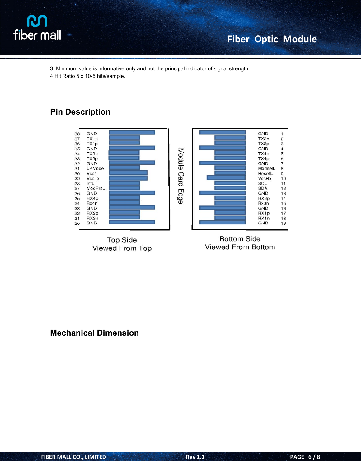

3. Minimum value is informative only and not the principal indicator of signal strength.

4.Hit Ratio 5 x 10-5 hits/sample.

## **Pin Description**



Viewed From Top

Viewed From Bottom

**Mechanical Dimension**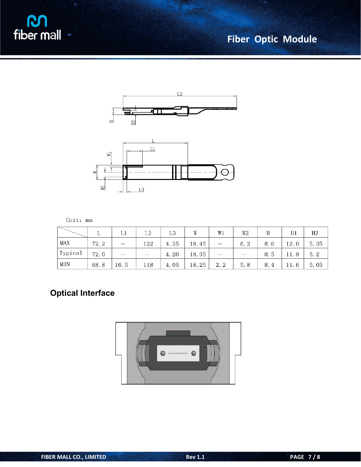**M**<br>fiber mall

# **Fiber Optic Module**





| Unit: |  | mm |
|-------|--|----|
|-------|--|----|

|         |      | ⊥⊥                       | T 2    | L3   | W     | W1                       | W <sub>2</sub>                          | Н                    | H1   | H <sub>2</sub> |
|---------|------|--------------------------|--------|------|-------|--------------------------|-----------------------------------------|----------------------|------|----------------|
| MAX     | 72.2 | $\overline{\phantom{0}}$ | 122    | 4.35 | 18.45 | $\frac{1}{2}$            | 6.2                                     | 8.6                  | 12.0 | 5.35           |
| Typical | 72.0 | $\overline{\phantom{a}}$ | $\sim$ | 4.20 | 18.35 | $\overline{\phantom{a}}$ | $\overline{\mathcal{L}(\mathcal{C})}$ . | 8.5                  | 11.8 | 5.2            |
| MIN     | 68.8 | 16.5                     | 118    | 4.05 | 18.25 | 2.2                      | 5.8                                     | 8.<br>$\overline{4}$ | 11.6 | 5.05           |

# **Optical Interface**